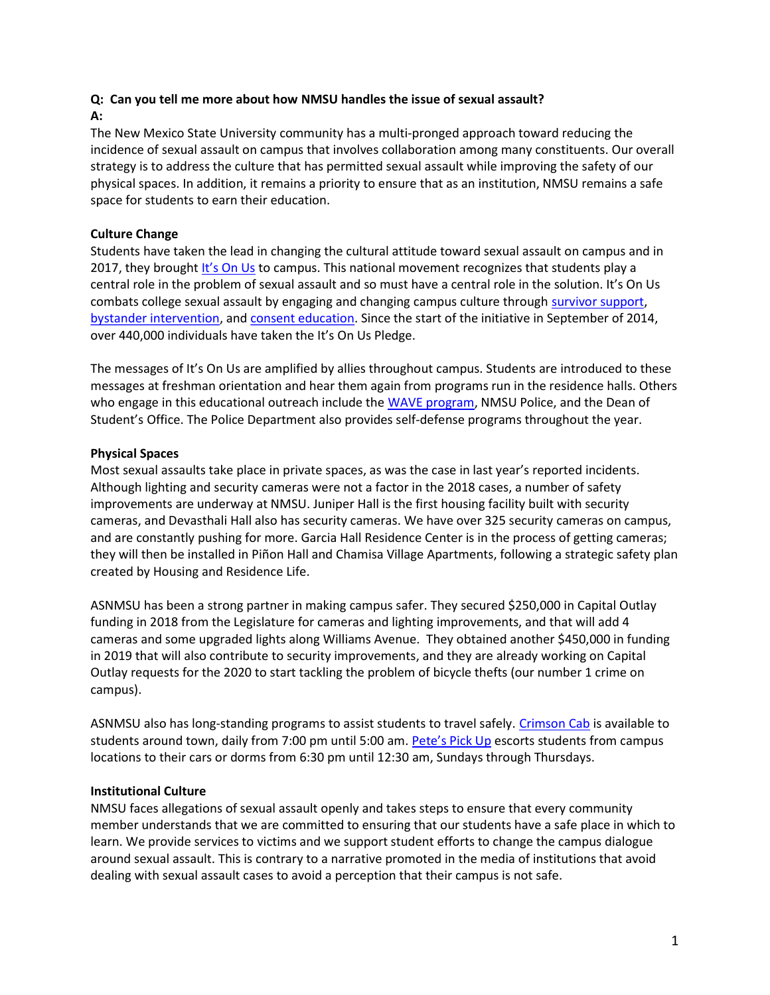# Q: Can you tell me more about how NMSU handles the issue of sexual assault?

### A:

The New Mexico State University community has a multi-pronged approach toward reducing the incidence of sexual assault on campus that involves collaboration among many constituents. Our overall strategy is to address the culture that has permitted sexual assault while improving the safety of our physical spaces. In addition, it remains a priority to ensure that as an institution, NMSU remains a safe space for students to earn their education.

## Culture Change

Students have taken the lead in changing the cultural attitude toward sexual assault on campus and in 2017, they brought It's On Us to campus. This national movement recognizes that students play a central role in the problem of sexual assault and so must have a central role in the solution. It's On Us combats college sexual assault by engaging and changing campus culture through survivor support, bystander intervention, and consent education. Since the start of the initiative in September of 2014, over 440,000 individuals have taken the It's On Us Pledge.

The messages of It's On Us are amplified by allies throughout campus. Students are introduced to these messages at freshman orientation and hear them again from programs run in the residence halls. Others who engage in this educational outreach include the WAVE program, NMSU Police, and the Dean of Student's Office. The Police Department also provides self-defense programs throughout the year.

## Physical Spaces

Most sexual assaults take place in private spaces, as was the case in last year's reported incidents. Although lighting and security cameras were not a factor in the 2018 cases, a number of safety improvements are underway at NMSU. Juniper Hall is the first housing facility built with security cameras, and Devasthali Hall also has security cameras. We have over 325 security cameras on campus, and are constantly pushing for more. Garcia Hall Residence Center is in the process of getting cameras; they will then be installed in Piñon Hall and Chamisa Village Apartments, following a strategic safety plan created by Housing and Residence Life.

ASNMSU has been a strong partner in making campus safer. They secured \$250,000 in Capital Outlay funding in 2018 from the Legislature for cameras and lighting improvements, and that will add 4 cameras and some upgraded lights along Williams Avenue. They obtained another \$450,000 in funding in 2019 that will also contribute to security improvements, and they are already working on Capital Outlay requests for the 2020 to start tackling the problem of bicycle thefts (our number 1 crime on campus).

ASNMSU also has long-standing programs to assist students to travel safely. Crimson Cab is available to students around town, daily from 7:00 pm until 5:00 am. Pete's Pick Up escorts students from campus locations to their cars or dorms from 6:30 pm until 12:30 am, Sundays through Thursdays.

### Institutional Culture

NMSU faces allegations of sexual assault openly and takes steps to ensure that every community member understands that we are committed to ensuring that our students have a safe place in which to learn. We provide services to victims and we support student efforts to change the campus dialogue around sexual assault. This is contrary to a narrative promoted in the media of institutions that avoid dealing with sexual assault cases to avoid a perception that their campus is not safe.